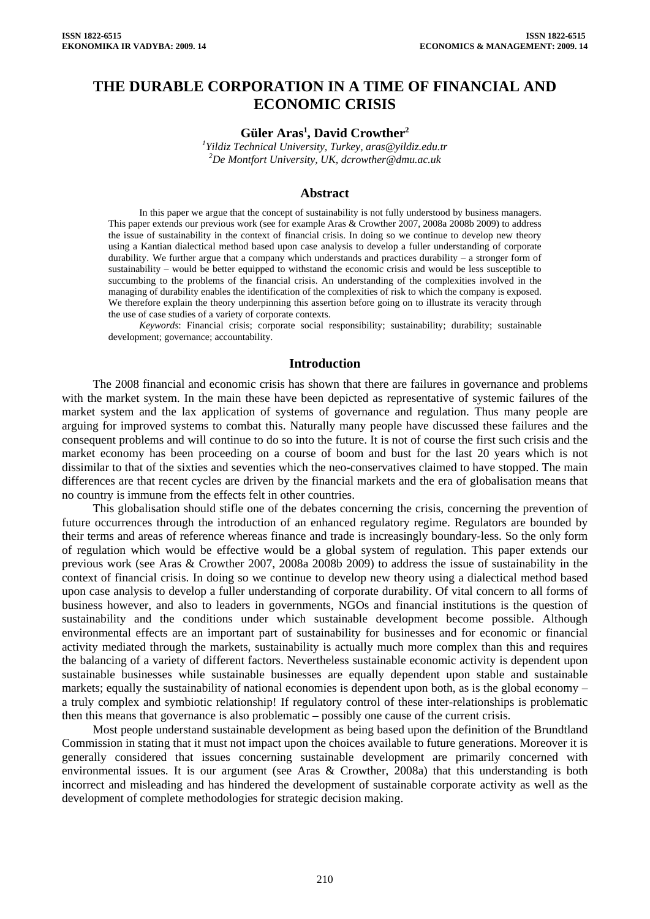# **THE DURABLE CORPORATION IN A TIME OF FINANCIAL AND ECONOMIC CRISIS**

# Güler Aras<sup>1</sup>, David Crowther<sup>2</sup>

*1 Yildiz Technical University, Turkey, aras@yildiz.edu.tr 2 De Montfort University, UK, dcrowther@dmu.ac.uk* 

#### **Abstract**

In this paper we argue that the concept of sustainability is not fully understood by business managers. This paper extends our previous work (see for example Aras & Crowther 2007, 2008a 2008b 2009) to address the issue of sustainability in the context of financial crisis. In doing so we continue to develop new theory using a Kantian dialectical method based upon case analysis to develop a fuller understanding of corporate durability. We further argue that a company which understands and practices durability – a stronger form of sustainability – would be better equipped to withstand the economic crisis and would be less susceptible to succumbing to the problems of the financial crisis. An understanding of the complexities involved in the managing of durability enables the identification of the complexities of risk to which the company is exposed. We therefore explain the theory underpinning this assertion before going on to illustrate its veracity through the use of case studies of a variety of corporate contexts.

*Keywords*: Financial crisis; corporate social responsibility; sustainability; durability; sustainable development; governance; accountability.

### **Introduction**

The 2008 financial and economic crisis has shown that there are failures in governance and problems with the market system. In the main these have been depicted as representative of systemic failures of the market system and the lax application of systems of governance and regulation. Thus many people are arguing for improved systems to combat this. Naturally many people have discussed these failures and the consequent problems and will continue to do so into the future. It is not of course the first such crisis and the market economy has been proceeding on a course of boom and bust for the last 20 years which is not dissimilar to that of the sixties and seventies which the neo-conservatives claimed to have stopped. The main differences are that recent cycles are driven by the financial markets and the era of globalisation means that no country is immune from the effects felt in other countries.

This globalisation should stifle one of the debates concerning the crisis, concerning the prevention of future occurrences through the introduction of an enhanced regulatory regime. Regulators are bounded by their terms and areas of reference whereas finance and trade is increasingly boundary-less. So the only form of regulation which would be effective would be a global system of regulation. This paper extends our previous work (see Aras & Crowther 2007, 2008a 2008b 2009) to address the issue of sustainability in the context of financial crisis. In doing so we continue to develop new theory using a dialectical method based upon case analysis to develop a fuller understanding of corporate durability. Of vital concern to all forms of business however, and also to leaders in governments, NGOs and financial institutions is the question of sustainability and the conditions under which sustainable development become possible. Although environmental effects are an important part of sustainability for businesses and for economic or financial activity mediated through the markets, sustainability is actually much more complex than this and requires the balancing of a variety of different factors. Nevertheless sustainable economic activity is dependent upon sustainable businesses while sustainable businesses are equally dependent upon stable and sustainable markets; equally the sustainability of national economies is dependent upon both, as is the global economy – a truly complex and symbiotic relationship! If regulatory control of these inter-relationships is problematic then this means that governance is also problematic – possibly one cause of the current crisis.

Most people understand sustainable development as being based upon the definition of the Brundtland Commission in stating that it must not impact upon the choices available to future generations. Moreover it is generally considered that issues concerning sustainable development are primarily concerned with environmental issues. It is our argument (see Aras & Crowther, 2008a) that this understanding is both incorrect and misleading and has hindered the development of sustainable corporate activity as well as the development of complete methodologies for strategic decision making.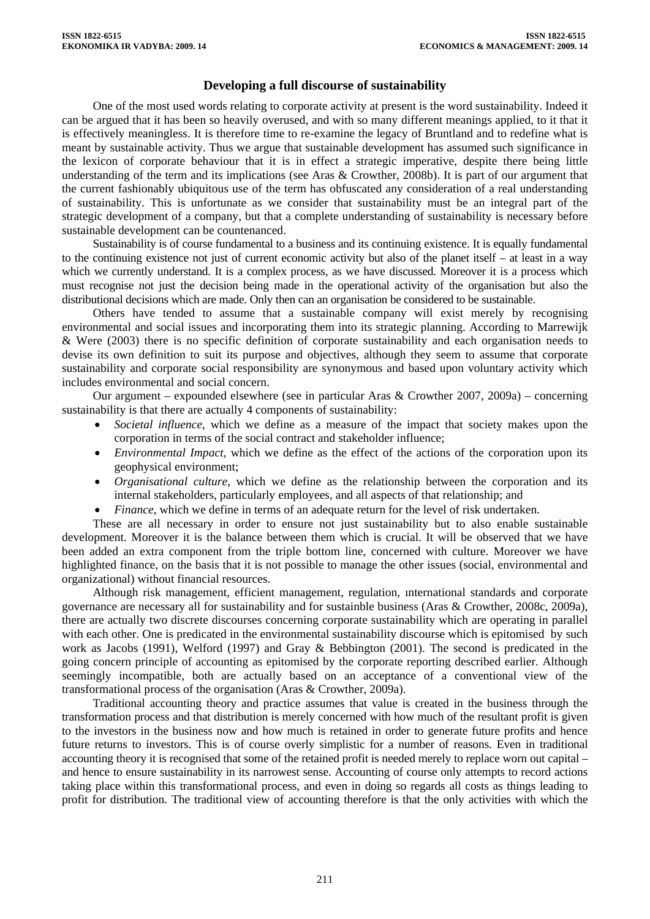# **Developing a full discourse of sustainability**

One of the most used words relating to corporate activity at present is the word sustainability. Indeed it can be argued that it has been so heavily overused, and with so many different meanings applied, to it that it is effectively meaningless. It is therefore time to re-examine the legacy of Bruntland and to redefine what is meant by sustainable activity. Thus we argue that sustainable development has assumed such significance in the lexicon of corporate behaviour that it is in effect a strategic imperative, despite there being little understanding of the term and its implications (see Aras & Crowther, 2008b). It is part of our argument that the current fashionably ubiquitous use of the term has obfuscated any consideration of a real understanding of sustainability. This is unfortunate as we consider that sustainability must be an integral part of the strategic development of a company, but that a complete understanding of sustainability is necessary before sustainable development can be countenanced.

Sustainability is of course fundamental to a business and its continuing existence. It is equally fundamental to the continuing existence not just of current economic activity but also of the planet itself – at least in a way which we currently understand. It is a complex process, as we have discussed. Moreover it is a process which must recognise not just the decision being made in the operational activity of the organisation but also the distributional decisions which are made. Only then can an organisation be considered to be sustainable.

Others have tended to assume that a sustainable company will exist merely by recognising environmental and social issues and incorporating them into its strategic planning. According to Marrewijk & Were (2003) there is no specific definition of corporate sustainability and each organisation needs to devise its own definition to suit its purpose and objectives, although they seem to assume that corporate sustainability and corporate social responsibility are synonymous and based upon voluntary activity which includes environmental and social concern.

Our argument – expounded elsewhere (see in particular Aras & Crowther 2007, 2009a) – concerning sustainability is that there are actually 4 components of sustainability:

- *Societal influence*, which we define as a measure of the impact that society makes upon the corporation in terms of the social contract and stakeholder influence;
- *Environmental Impact*, which we define as the effect of the actions of the corporation upon its geophysical environment;
- *Organisational culture*, which we define as the relationship between the corporation and its internal stakeholders, particularly employees, and all aspects of that relationship; and
- *Finance*, which we define in terms of an adequate return for the level of risk undertaken.

These are all necessary in order to ensure not just sustainability but to also enable sustainable development. Moreover it is the balance between them which is crucial. It will be observed that we have been added an extra component from the triple bottom line, concerned with culture. Moreover we have highlighted finance, on the basis that it is not possible to manage the other issues (social, environmental and organizational) without financial resources.

Although risk management, efficient management, regulation, ınternational standards and corporate governance are necessary all for sustainability and for sustainble business (Aras & Crowther, 2008c, 2009a), there are actually two discrete discourses concerning corporate sustainability which are operating in parallel with each other. One is predicated in the environmental sustainability discourse which is epitomised by such work as Jacobs (1991), Welford (1997) and Gray & Bebbington (2001). The second is predicated in the going concern principle of accounting as epitomised by the corporate reporting described earlier. Although seemingly incompatible, both are actually based on an acceptance of a conventional view of the transformational process of the organisation (Aras & Crowther, 2009a).

Traditional accounting theory and practice assumes that value is created in the business through the transformation process and that distribution is merely concerned with how much of the resultant profit is given to the investors in the business now and how much is retained in order to generate future profits and hence future returns to investors. This is of course overly simplistic for a number of reasons. Even in traditional accounting theory it is recognised that some of the retained profit is needed merely to replace worn out capital – and hence to ensure sustainability in its narrowest sense. Accounting of course only attempts to record actions taking place within this transformational process, and even in doing so regards all costs as things leading to profit for distribution. The traditional view of accounting therefore is that the only activities with which the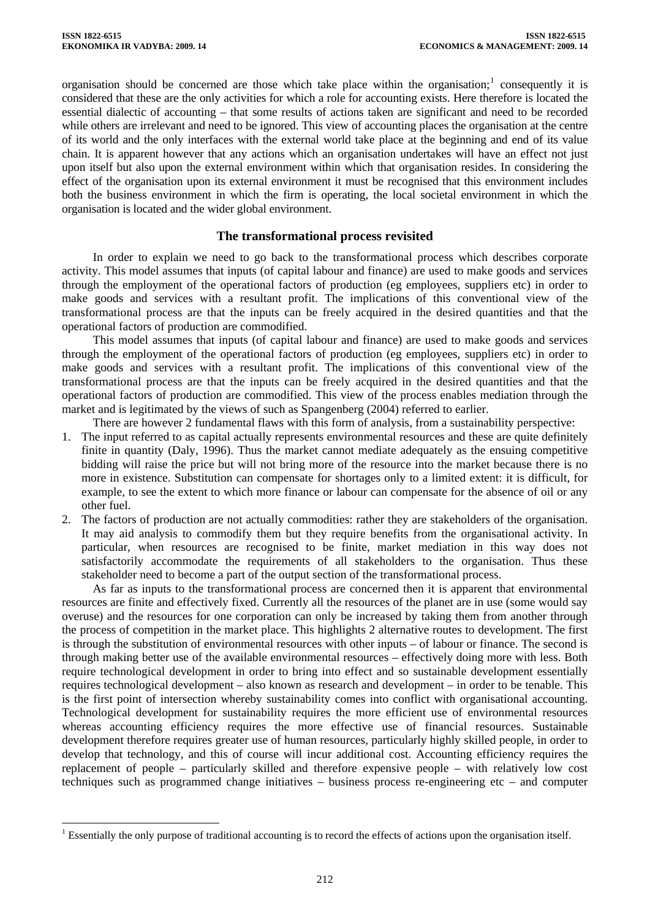$\overline{a}$ 

organisation should be concerned are those which take place within the organisation;<sup>[1](#page-2-0)</sup> consequently it is considered that these are the only activities for which a role for accounting exists. Here therefore is located the essential dialectic of accounting – that some results of actions taken are significant and need to be recorded while others are irrelevant and need to be ignored. This view of accounting places the organisation at the centre of its world and the only interfaces with the external world take place at the beginning and end of its value chain. It is apparent however that any actions which an organisation undertakes will have an effect not just upon itself but also upon the external environment within which that organisation resides. In considering the effect of the organisation upon its external environment it must be recognised that this environment includes both the business environment in which the firm is operating, the local societal environment in which the organisation is located and the wider global environment.

### **The transformational process revisited**

In order to explain we need to go back to the transformational process which describes corporate activity. This model assumes that inputs (of capital labour and finance) are used to make goods and services through the employment of the operational factors of production (eg employees, suppliers etc) in order to make goods and services with a resultant profit. The implications of this conventional view of the transformational process are that the inputs can be freely acquired in the desired quantities and that the operational factors of production are commodified.

This model assumes that inputs (of capital labour and finance) are used to make goods and services through the employment of the operational factors of production (eg employees, suppliers etc) in order to make goods and services with a resultant profit. The implications of this conventional view of the transformational process are that the inputs can be freely acquired in the desired quantities and that the operational factors of production are commodified. This view of the process enables mediation through the market and is legitimated by the views of such as Spangenberg (2004) referred to earlier.

There are however 2 fundamental flaws with this form of analysis, from a sustainability perspective:

- 1. The input referred to as capital actually represents environmental resources and these are quite definitely finite in quantity (Daly, 1996). Thus the market cannot mediate adequately as the ensuing competitive bidding will raise the price but will not bring more of the resource into the market because there is no more in existence. Substitution can compensate for shortages only to a limited extent: it is difficult, for example, to see the extent to which more finance or labour can compensate for the absence of oil or any other fuel.
- 2. The factors of production are not actually commodities: rather they are stakeholders of the organisation. It may aid analysis to commodify them but they require benefits from the organisational activity. In particular, when resources are recognised to be finite, market mediation in this way does not satisfactorily accommodate the requirements of all stakeholders to the organisation. Thus these stakeholder need to become a part of the output section of the transformational process.

As far as inputs to the transformational process are concerned then it is apparent that environmental resources are finite and effectively fixed. Currently all the resources of the planet are in use (some would say overuse) and the resources for one corporation can only be increased by taking them from another through the process of competition in the market place. This highlights 2 alternative routes to development. The first is through the substitution of environmental resources with other inputs – of labour or finance. The second is through making better use of the available environmental resources – effectively doing more with less. Both require technological development in order to bring into effect and so sustainable development essentially requires technological development – also known as research and development – in order to be tenable. This is the first point of intersection whereby sustainability comes into conflict with organisational accounting. Technological development for sustainability requires the more efficient use of environmental resources whereas accounting efficiency requires the more effective use of financial resources. Sustainable development therefore requires greater use of human resources, particularly highly skilled people, in order to develop that technology, and this of course will incur additional cost. Accounting efficiency requires the replacement of people – particularly skilled and therefore expensive people – with relatively low cost techniques such as programmed change initiatives – business process re-engineering etc – and computer

<span id="page-2-0"></span> $<sup>1</sup>$  Essentially the only purpose of traditional accounting is to record the effects of actions upon the organisation itself.</sup>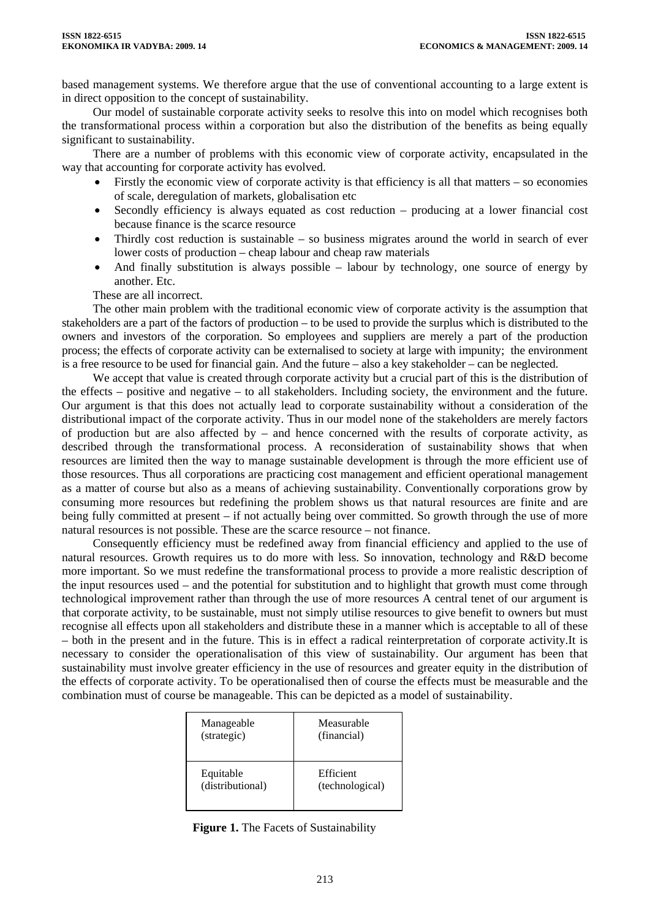based management systems. We therefore argue that the use of conventional accounting to a large extent is in direct opposition to the concept of sustainability.

Our model of sustainable corporate activity seeks to resolve this into on model which recognises both the transformational process within a corporation but also the distribution of the benefits as being equally significant to sustainability.

There are a number of problems with this economic view of corporate activity, encapsulated in the way that accounting for corporate activity has evolved.

- Firstly the economic view of corporate activity is that efficiency is all that matters so economies of scale, deregulation of markets, globalisation etc
- Secondly efficiency is always equated as cost reduction producing at a lower financial cost because finance is the scarce resource
- Thirdly cost reduction is sustainable so business migrates around the world in search of ever lower costs of production – cheap labour and cheap raw materials
- And finally substitution is always possible labour by technology, one source of energy by another. Etc.

These are all incorrect.

The other main problem with the traditional economic view of corporate activity is the assumption that stakeholders are a part of the factors of production – to be used to provide the surplus which is distributed to the owners and investors of the corporation. So employees and suppliers are merely a part of the production process; the effects of corporate activity can be externalised to society at large with impunity; the environment is a free resource to be used for financial gain. And the future – also a key stakeholder – can be neglected.

We accept that value is created through corporate activity but a crucial part of this is the distribution of the effects – positive and negative – to all stakeholders. Including society, the environment and the future. Our argument is that this does not actually lead to corporate sustainability without a consideration of the distributional impact of the corporate activity. Thus in our model none of the stakeholders are merely factors of production but are also affected by – and hence concerned with the results of corporate activity, as described through the transformational process. A reconsideration of sustainability shows that when resources are limited then the way to manage sustainable development is through the more efficient use of those resources. Thus all corporations are practicing cost management and efficient operational management as a matter of course but also as a means of achieving sustainability. Conventionally corporations grow by consuming more resources but redefining the problem shows us that natural resources are finite and are being fully committed at present – if not actually being over committed. So growth through the use of more natural resources is not possible. These are the scarce resource – not finance.

Consequently efficiency must be redefined away from financial efficiency and applied to the use of natural resources. Growth requires us to do more with less. So innovation, technology and R&D become more important. So we must redefine the transformational process to provide a more realistic description of the input resources used – and the potential for substitution and to highlight that growth must come through technological improvement rather than through the use of more resources A central tenet of our argument is that corporate activity, to be sustainable, must not simply utilise resources to give benefit to owners but must recognise all effects upon all stakeholders and distribute these in a manner which is acceptable to all of these – both in the present and in the future. This is in effect a radical reinterpretation of corporate activity.It is necessary to consider the operationalisation of this view of sustainability. Our argument has been that sustainability must involve greater efficiency in the use of resources and greater equity in the distribution of the effects of corporate activity. To be operationalised then of course the effects must be measurable and the combination must of course be manageable. This can be depicted as a model of sustainability.

| Manageable       | Measurable      |
|------------------|-----------------|
| (strategic)      | (financial)     |
| Equitable        | Efficient       |
| (distributional) | (technological) |

**Figure 1.** The Facets of Sustainability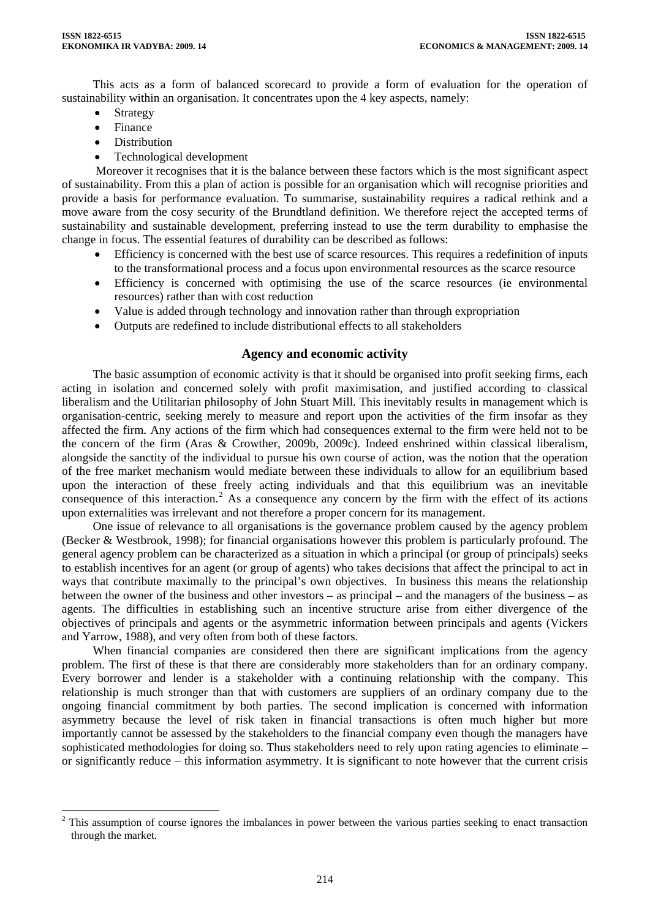This acts as a form of balanced scorecard to provide a form of evaluation for the operation of sustainability within an organisation. It concentrates upon the 4 key aspects, namely:

- **Strategy**
- Finance

 $\overline{a}$ 

- Distribution
- Technological development

 Moreover it recognises that it is the balance between these factors which is the most significant aspect of sustainability. From this a plan of action is possible for an organisation which will recognise priorities and provide a basis for performance evaluation. To summarise, sustainability requires a radical rethink and a move aware from the cosy security of the Brundtland definition. We therefore reject the accepted terms of sustainability and sustainable development, preferring instead to use the term durability to emphasise the change in focus. The essential features of durability can be described as follows:

- Efficiency is concerned with the best use of scarce resources. This requires a redefinition of inputs to the transformational process and a focus upon environmental resources as the scarce resource
- Efficiency is concerned with optimising the use of the scarce resources (ie environmental resources) rather than with cost reduction
- Value is added through technology and innovation rather than through expropriation
- Outputs are redefined to include distributional effects to all stakeholders

# **Agency and economic activity**

The basic assumption of economic activity is that it should be organised into profit seeking firms, each acting in isolation and concerned solely with profit maximisation, and justified according to classical liberalism and the Utilitarian philosophy of John Stuart Mill. This inevitably results in management which is organisation-centric, seeking merely to measure and report upon the activities of the firm insofar as they affected the firm. Any actions of the firm which had consequences external to the firm were held not to be the concern of the firm (Aras & Crowther, 2009b, 2009c). Indeed enshrined within classical liberalism, alongside the sanctity of the individual to pursue his own course of action, was the notion that the operation of the free market mechanism would mediate between these individuals to allow for an equilibrium based upon the interaction of these freely acting individuals and that this equilibrium was an inevitable consequence of this interaction.<sup>[2](#page-4-0)</sup> As a consequence any concern by the firm with the effect of its actions upon externalities was irrelevant and not therefore a proper concern for its management.

One issue of relevance to all organisations is the governance problem caused by the agency problem (Becker & Westbrook, 1998); for financial organisations however this problem is particularly profound. The general agency problem can be characterized as a situation in which a principal (or group of principals) seeks to establish incentives for an agent (or group of agents) who takes decisions that affect the principal to act in ways that contribute maximally to the principal's own objectives. In business this means the relationship between the owner of the business and other investors – as principal – and the managers of the business – as agents. The difficulties in establishing such an incentive structure arise from either divergence of the objectives of principals and agents or the asymmetric information between principals and agents (Vickers and Yarrow, 1988), and very often from both of these factors.

When financial companies are considered then there are significant implications from the agency problem. The first of these is that there are considerably more stakeholders than for an ordinary company. Every borrower and lender is a stakeholder with a continuing relationship with the company. This relationship is much stronger than that with customers are suppliers of an ordinary company due to the ongoing financial commitment by both parties. The second implication is concerned with information asymmetry because the level of risk taken in financial transactions is often much higher but more importantly cannot be assessed by the stakeholders to the financial company even though the managers have sophisticated methodologies for doing so. Thus stakeholders need to rely upon rating agencies to eliminate – or significantly reduce – this information asymmetry. It is significant to note however that the current crisis

<span id="page-4-0"></span> $2$  This assumption of course ignores the imbalances in power between the various parties seeking to enact transaction through the market.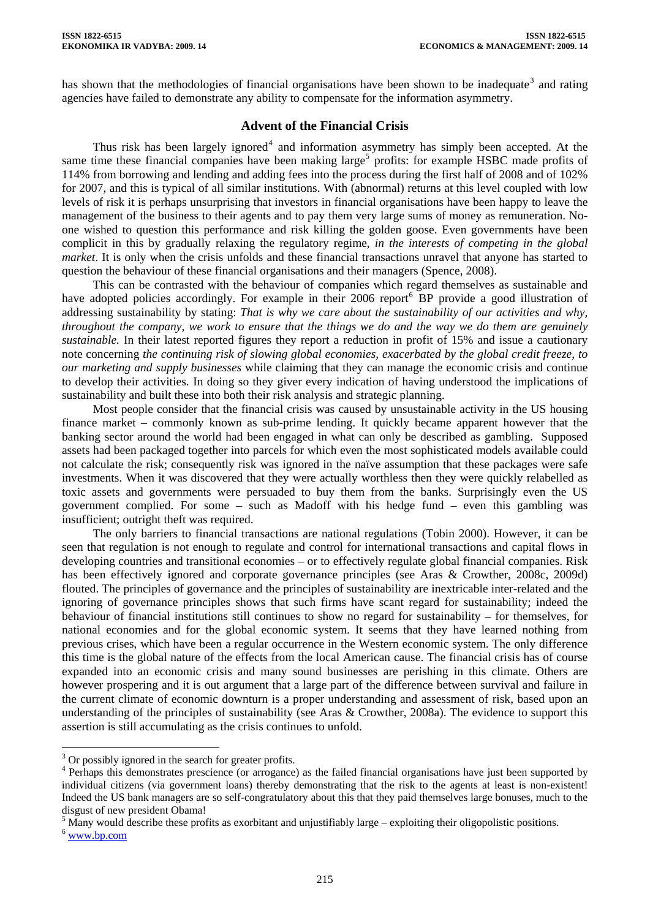has shown that the methodologies of financial organisations have been shown to be inadequate<sup>[3](#page-5-0)</sup> and rating agencies have failed to demonstrate any ability to compensate for the information asymmetry.

# **Advent of the Financial Crisis**

Thus risk has been largely ignored<sup>[4](#page-5-1)</sup> and information asymmetry has simply been accepted. At the same time these financial companies have been making large<sup>[5](#page-5-2)</sup> profits: for example HSBC made profits of 114% from borrowing and lending and adding fees into the process during the first half of 2008 and of 102% for 2007, and this is typical of all similar institutions. With (abnormal) returns at this level coupled with low levels of risk it is perhaps unsurprising that investors in financial organisations have been happy to leave the management of the business to their agents and to pay them very large sums of money as remuneration. Noone wished to question this performance and risk killing the golden goose. Even governments have been complicit in this by gradually relaxing the regulatory regime, *in the interests of competing in the global market*. It is only when the crisis unfolds and these financial transactions unravel that anyone has started to question the behaviour of these financial organisations and their managers (Spence, 2008).

This can be contrasted with the behaviour of companies which regard themselves as sustainable and have adopted policies accordingly. For example in their 200[6](#page-5-3) report <sup>6</sup> BP provide a good illustration of addressing sustainability by stating: *That is why we care about the sustainability of our activities and why, throughout the company, we work to ensure that the things we do and the way we do them are genuinely sustainable.* In their latest reported figures they report a reduction in profit of 15% and issue a cautionary note concerning *the continuing risk of slowing global economies, exacerbated by the global credit freeze, to our marketing and supply businesses* while claiming that they can manage the economic crisis and continue to develop their activities. In doing so they giver every indication of having understood the implications of sustainability and built these into both their risk analysis and strategic planning.

Most people consider that the financial crisis was caused by unsustainable activity in the US housing finance market – commonly known as sub-prime lending. It quickly became apparent however that the banking sector around the world had been engaged in what can only be described as gambling. Supposed assets had been packaged together into parcels for which even the most sophisticated models available could not calculate the risk; consequently risk was ignored in the naïve assumption that these packages were safe investments. When it was discovered that they were actually worthless then they were quickly relabelled as toxic assets and governments were persuaded to buy them from the banks. Surprisingly even the US government complied. For some – such as Madoff with his hedge fund – even this gambling was insufficient; outright theft was required.

The only barriers to financial transactions are national regulations (Tobin 2000). However, it can be seen that regulation is not enough to regulate and control for international transactions and capital flows in developing countries and transitional economies – or to effectively regulate global financial companies. Risk has been effectively ignored and corporate governance principles (see Aras & Crowther, 2008c, 2009d) flouted. The principles of governance and the principles of sustainability are inextricable inter-related and the ignoring of governance principles shows that such firms have scant regard for sustainability; indeed the behaviour of financial institutions still continues to show no regard for sustainability – for themselves, for national economies and for the global economic system. It seems that they have learned nothing from previous crises, which have been a regular occurrence in the Western economic system. The only difference this time is the global nature of the effects from the local American cause. The financial crisis has of course expanded into an economic crisis and many sound businesses are perishing in this climate. Others are however prospering and it is out argument that a large part of the difference between survival and failure in the current climate of economic downturn is a proper understanding and assessment of risk, based upon an understanding of the principles of sustainability (see Aras & Crowther, 2008a). The evidence to support this assertion is still accumulating as the crisis continues to unfold.

<span id="page-5-3"></span>

 $\overline{a}$ 

<span id="page-5-0"></span> $3$  Or possibly ignored in the search for greater profits.

<span id="page-5-1"></span><sup>&</sup>lt;sup>4</sup> Perhaps this demonstrates prescience (or arrogance) as the failed financial organisations have just been supported by individual citizens (via government loans) thereby demonstrating that the risk to the agents at least is non-existent! Indeed the US bank managers are so self-congratulatory about this that they paid themselves large bonuses, much to the disgust of new president Obama!

<span id="page-5-2"></span><sup>&</sup>lt;sup>5</sup> Many would describe these profits as exorbitant and unjustifiably large – exploiting their oligopolistic positions.<br><sup>6</sup> [www.bp.com](http://www.bp.com/)